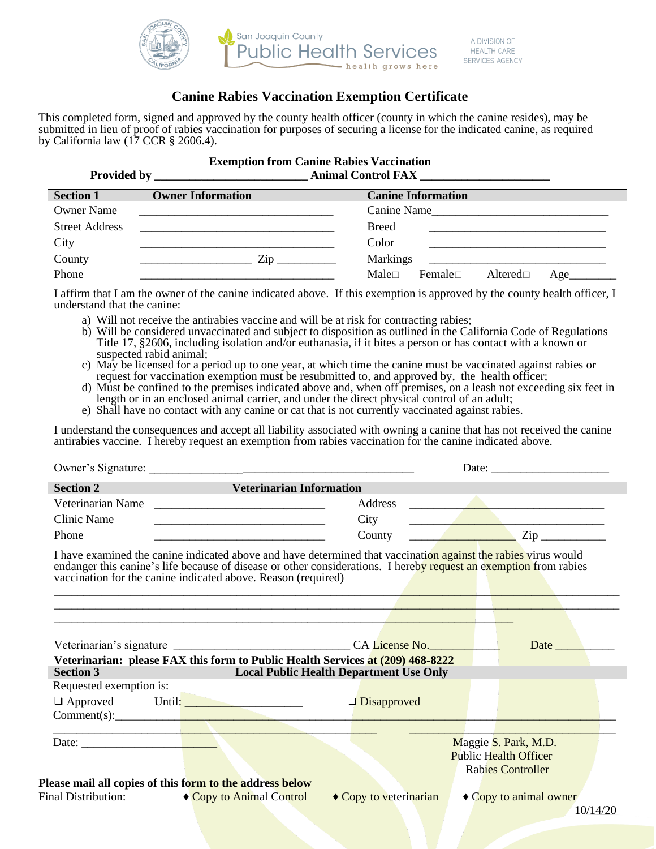

### **Canine Rabies Vaccination Exemption Certificate**

This completed form, signed and approved by the county health officer (county in which the canine resides), may be submitted in lieu of proof of rabies vaccination for purposes of securing a license for the indicated canine, as required by California law (17 CCR § 2606.4).

|                    | <b>Exemption from Canine Rabies Vaccination</b> |
|--------------------|-------------------------------------------------|
| <b>Provided by</b> | <b>Animal Control FAX</b>                       |

| <b>Section 1</b>      | <b>Owner Information</b>                                                                    | <b>Canine Information</b>                       |  |  |
|-----------------------|---------------------------------------------------------------------------------------------|-------------------------------------------------|--|--|
| <b>Owner Name</b>     | <u> 1980 - John Stein, Amerikaansk politiker (</u> † 1920)                                  | Canine Name                                     |  |  |
| <b>Street Address</b> |                                                                                             | <b>Breed</b>                                    |  |  |
| City                  |                                                                                             | Color                                           |  |  |
| County                | $\mathsf{Zip} \_\_\_\_\_\_\$<br><u> 1989 - Johann Barn, mars ann an t-Amhair ann an t-A</u> | <b>Markings</b>                                 |  |  |
| Phone                 |                                                                                             | $Male \Box$<br>Female $\Box$<br>Altered□<br>Age |  |  |

I affirm that I am the owner of the canine indicated above. If this exemption is approved by the county health officer, I understand that the canine:

- a) Will not receive the antirabies vaccine and will be at risk for contracting rabies;
- b) Will be considered unvaccinated and subject to disposition as outlined in the California Code of Regulations Title 17, §2606, including isolation and/or euthanasia, if it bites a person or has contact with a known or suspected rabid animal;
- c) May be licensed for a period up to one year, at which time the canine must be vaccinated against rabies or request for vaccination exemption must be resubmitted to, and approved by, the health officer;
- d) Must be confined to the premises indicated above and, when off premises, on a leash not exceeding six feet in length or in an enclosed animal carrier, and under the direct physical control of an adult;
- e) Shall have no contact with any canine or cat that is not currently vaccinated against rabies.

I understand the consequences and accept all liability associated with owning a canine that has not received the canine antirabies vaccine. I hereby request an exemption from rabies vaccination for the canine indicated above.

| Section 2               | <b>Veterinarian Information</b>                                                                                                                                                                                                                                                                      |                        |                                                                                            |                                                                                                                                                                                                                                                                                                                                                                                                                                                                          |  |
|-------------------------|------------------------------------------------------------------------------------------------------------------------------------------------------------------------------------------------------------------------------------------------------------------------------------------------------|------------------------|--------------------------------------------------------------------------------------------|--------------------------------------------------------------------------------------------------------------------------------------------------------------------------------------------------------------------------------------------------------------------------------------------------------------------------------------------------------------------------------------------------------------------------------------------------------------------------|--|
|                         | Veterinarian Name                                                                                                                                                                                                                                                                                    | Address                | <u> 1980 - John Alexander (f. 1980)</u><br><u> 1989 - Andrea Amerikaanse kommunister (</u> |                                                                                                                                                                                                                                                                                                                                                                                                                                                                          |  |
| Clinic Name             |                                                                                                                                                                                                                                                                                                      | City                   |                                                                                            |                                                                                                                                                                                                                                                                                                                                                                                                                                                                          |  |
| Phone                   | <u> 1989 - Johann Harry Harry Harry Harry Harry Harry Harry Harry Harry Harry Harry Harry Harry Harry Harry Harry H</u>                                                                                                                                                                              |                        |                                                                                            | County $\overline{\phantom{a}}$ $\overline{\phantom{a}}$ $\overline{\phantom{a}}$ $\overline{\phantom{a}}$ $\overline{\phantom{a}}$ $\overline{\phantom{a}}$ $\overline{\phantom{a}}$ $\overline{\phantom{a}}$ $\overline{\phantom{a}}$ $\overline{\phantom{a}}$ $\overline{\phantom{a}}$ $\overline{\phantom{a}}$ $\overline{\phantom{a}}$ $\overline{\phantom{a}}$ $\overline{\phantom{a}}$ $\overline{\phantom{a}}$ $\overline{\phantom{a}}$ $\overline{\phantom{a}}$ |  |
|                         | I have examined the canine indicated above and have determined that vaccination against the rabies virus would<br>endanger this canine's life because of disease or other considerations. I hereby request an exemption from rabies<br>vaccination for the canine indicated above. Reason (required) |                        |                                                                                            |                                                                                                                                                                                                                                                                                                                                                                                                                                                                          |  |
|                         |                                                                                                                                                                                                                                                                                                      |                        |                                                                                            |                                                                                                                                                                                                                                                                                                                                                                                                                                                                          |  |
| <b>Section 3</b>        | Veterinarian: please FAX this form to Public Health Services at (209) 468-8222<br><b>Example 2018 Local Public Health Department Use Only</b>                                                                                                                                                        |                        |                                                                                            |                                                                                                                                                                                                                                                                                                                                                                                                                                                                          |  |
| Requested exemption is: |                                                                                                                                                                                                                                                                                                      |                        |                                                                                            |                                                                                                                                                                                                                                                                                                                                                                                                                                                                          |  |
|                         | $\Box$ Approved Until: $\Box$<br>Comment(s): <u>Comment</u> Comment Comment Comment Comment Comment Comment Comment Comment Comment Comment Comment Comment Comment Comment Comment Comment Comment Comment Comment Comment Comment Comment Comment Comment Comment                                  | $\Box$ Disapproved     |                                                                                            |                                                                                                                                                                                                                                                                                                                                                                                                                                                                          |  |
|                         |                                                                                                                                                                                                                                                                                                      |                        |                                                                                            |                                                                                                                                                                                                                                                                                                                                                                                                                                                                          |  |
|                         |                                                                                                                                                                                                                                                                                                      |                        |                                                                                            | Maggie S. Park, M.D.                                                                                                                                                                                                                                                                                                                                                                                                                                                     |  |
|                         |                                                                                                                                                                                                                                                                                                      |                        |                                                                                            | <b>Public Health Officer</b><br><b>Rabies Controller</b>                                                                                                                                                                                                                                                                                                                                                                                                                 |  |
|                         | Please mail all copies of this form to the address below                                                                                                                                                                                                                                             |                        |                                                                                            |                                                                                                                                                                                                                                                                                                                                                                                                                                                                          |  |
|                         | Final Distribution: $\rightarrow$ Copy to Animal Control                                                                                                                                                                                                                                             | ◆ Copy to veterinarian |                                                                                            | ◆ Copy to animal owner<br>10/14/20                                                                                                                                                                                                                                                                                                                                                                                                                                       |  |